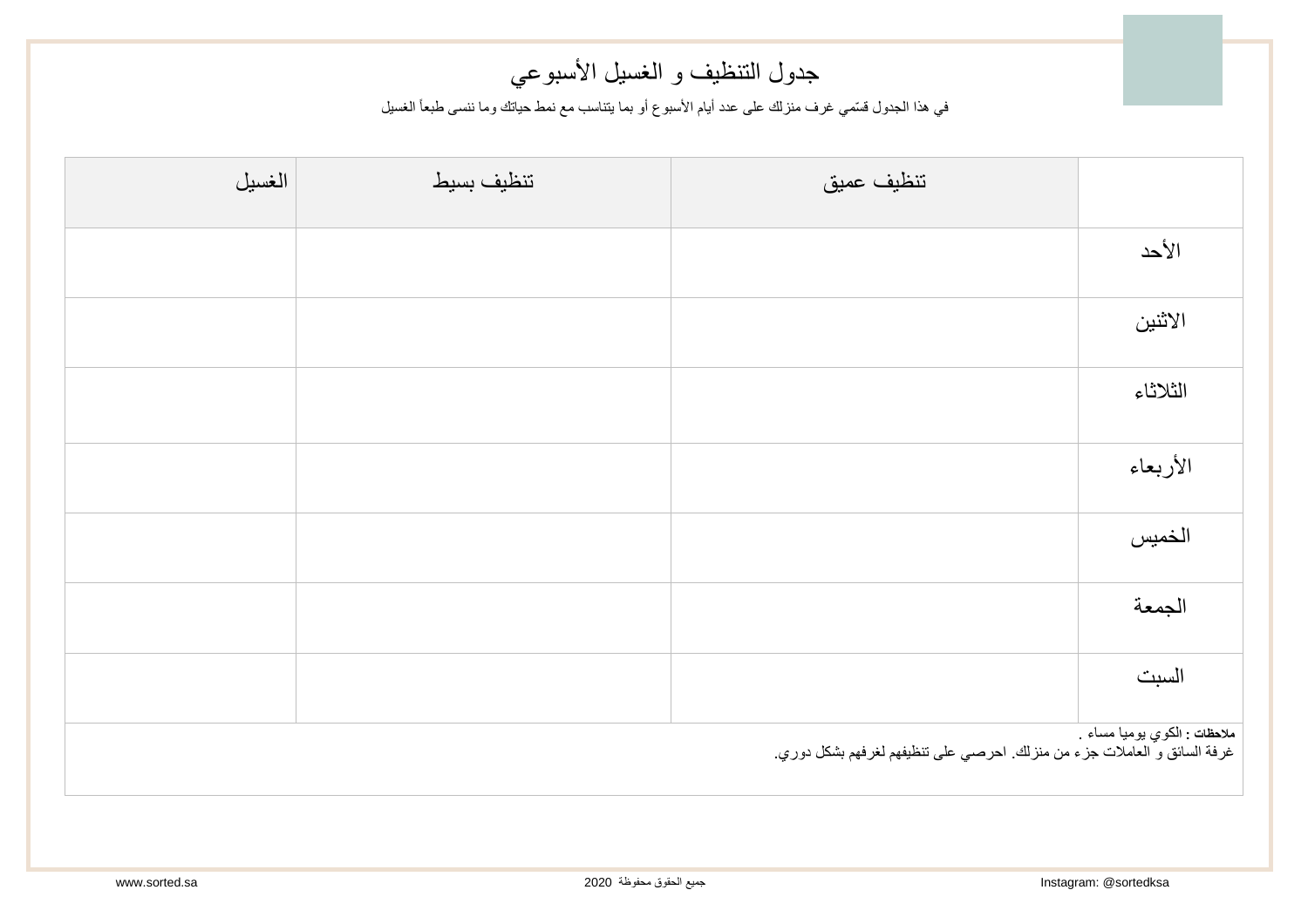## جدول التنظيف و الغسيل الأسبوعي

في هذا الجدول قسّمي غرف منزلك على عدد أيام الأسبوع أو بما يتناسب مع نمط حياتك وما ننسى طبعاً الغسيل

| الغسيل                                                                                                               | تنظيف بسيط | تنظيف عميق |          |  |
|----------------------------------------------------------------------------------------------------------------------|------------|------------|----------|--|
|                                                                                                                      |            |            | الأحد    |  |
|                                                                                                                      |            |            | الاثنين  |  |
|                                                                                                                      |            |            | الثلاثاء |  |
|                                                                                                                      |            |            | الأربعاء |  |
|                                                                                                                      |            |            | الخميس   |  |
|                                                                                                                      |            |            | الجمعة   |  |
|                                                                                                                      |            |            | السبت    |  |
| <mark>ملاحظات : ال</mark> كوي يوميا مساء<br>غرفة السائق و العاملات جزء من منزلك. احرصي على تنظيفهم لغرفهم بشكل دوري. |            |            |          |  |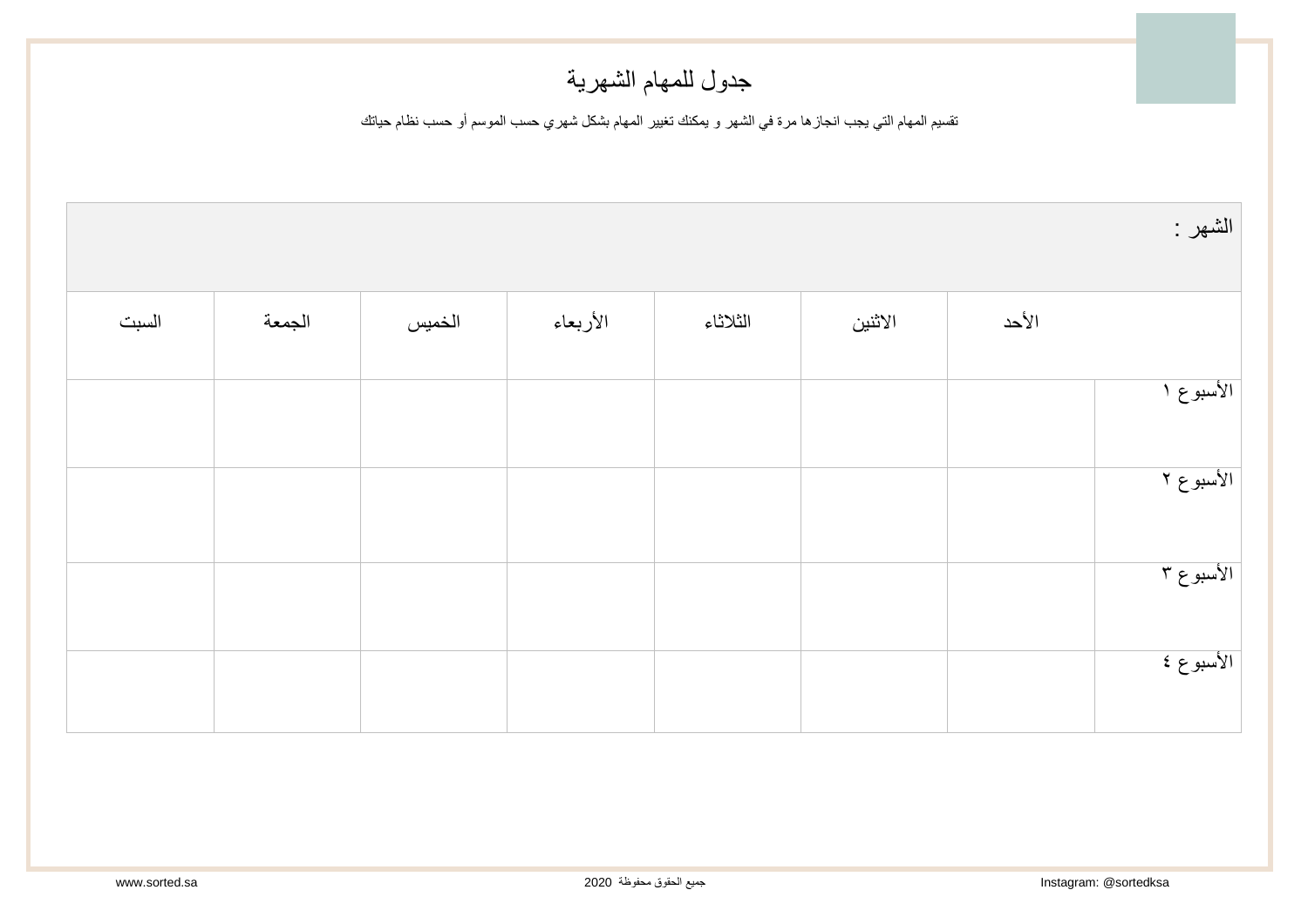## جدول للمهام الشهرية

تقسيم المهام التي يجب انجازها مرة في الشهر و يمكنك تغيير المهام بشكل شهري حسب الموسم أو حسب نظام حياتك

| الشهر :   |       |         |          |          |        |        |       |
|-----------|-------|---------|----------|----------|--------|--------|-------|
|           | الأحد | الاثنين | الثلاثاء | الأربعاء | الخميس | الجمعة | السبت |
| الأسبوع ا |       |         |          |          |        |        |       |
| الأسبوع ٢ |       |         |          |          |        |        |       |
| الأسبوع ٣ |       |         |          |          |        |        |       |
| الأسبوع ٤ |       |         |          |          |        |        |       |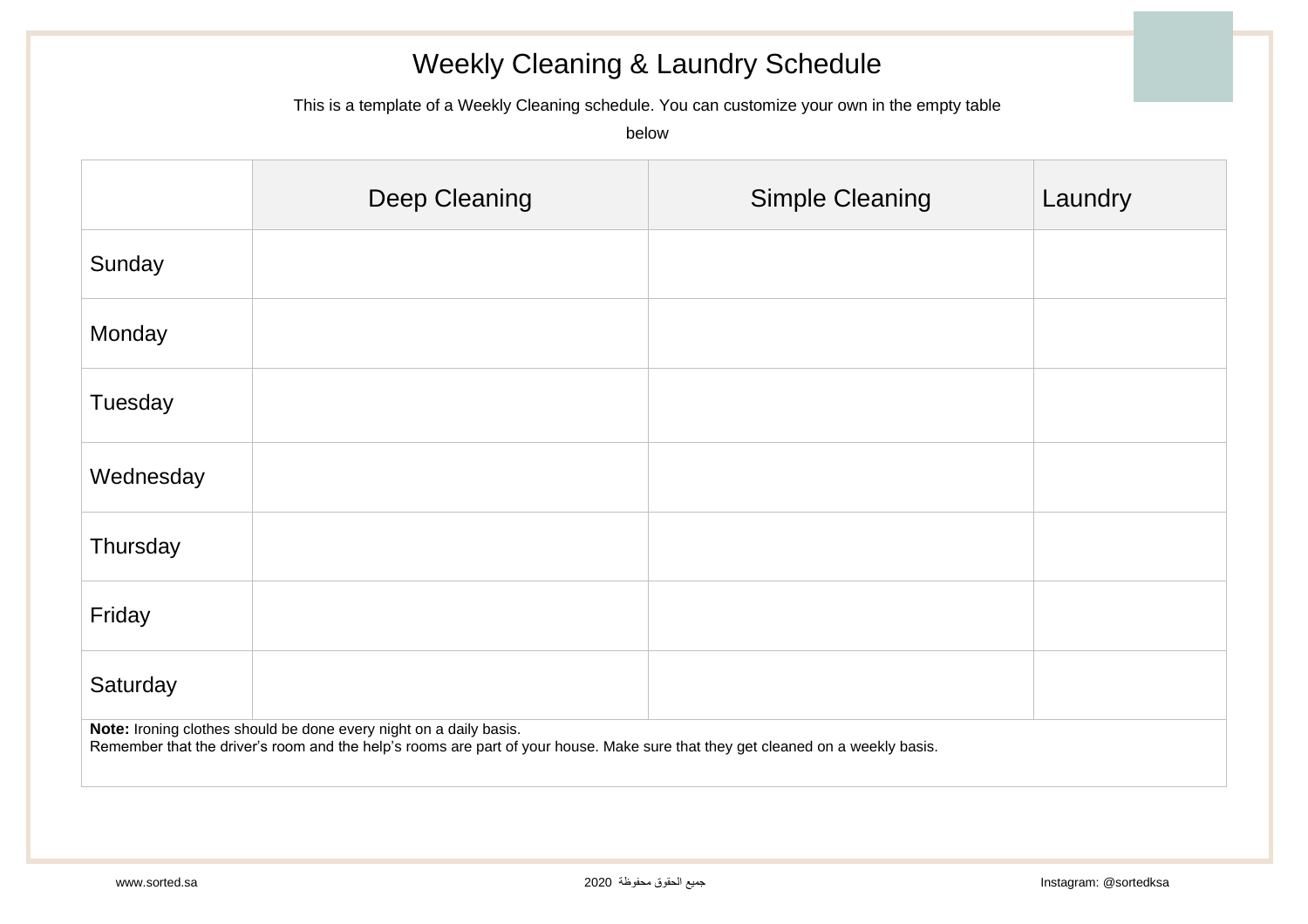## Weekly Cleaning & Laundry Schedule

This is a template of a Weekly Cleaning schedule. You can customize your own in the empty table

below

|                                                                                                                                                                                                       | Deep Cleaning | <b>Simple Cleaning</b> | Laundry |  |  |
|-------------------------------------------------------------------------------------------------------------------------------------------------------------------------------------------------------|---------------|------------------------|---------|--|--|
| Sunday                                                                                                                                                                                                |               |                        |         |  |  |
| Monday                                                                                                                                                                                                |               |                        |         |  |  |
| Tuesday                                                                                                                                                                                               |               |                        |         |  |  |
| Wednesday                                                                                                                                                                                             |               |                        |         |  |  |
| Thursday                                                                                                                                                                                              |               |                        |         |  |  |
| Friday                                                                                                                                                                                                |               |                        |         |  |  |
| Saturday                                                                                                                                                                                              |               |                        |         |  |  |
| Note: Ironing clothes should be done every night on a daily basis.<br>Remember that the driver's room and the help's rooms are part of your house. Make sure that they get cleaned on a weekly basis. |               |                        |         |  |  |